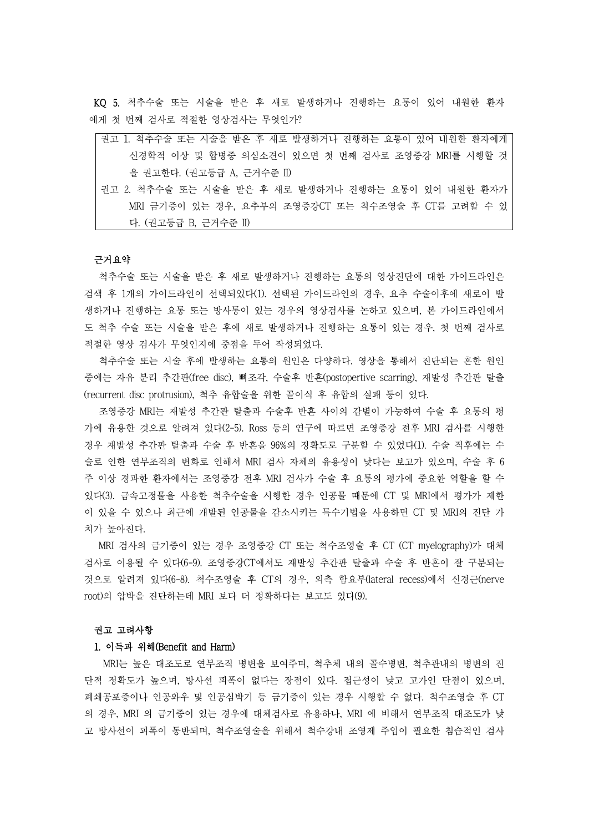KQ 5. 척추수술 또는 시술을 받은 후 새로 발생하거나 진행하는 요통이 있어 내원한 환자 에게 첫 번째 검사로 적절한 영상검사는 무엇인가?

| 권고 1. 척추수술 또는 시술을 받은 후 새로 발생하거나 진행하는 요통이 있어 내원한 환자에게 |
|------------------------------------------------------|
| 신경학적 이상 및 합병증 의심소견이 있으면 첫 번째 검사로 조영증강 MRI를 시행할 것     |
| 을 권고한다. (권고등급 A, 근거수준 II)                            |
| 권고 2. 척추수술 또는 시술을 받은 후 새로 발생하거나 진행하는 요통이 있어 내원한 환자가  |
| MRI 금기증이 있는 경우, 요추부의 조영증강CT 또는 척수조영술 후 CT를 고려할 수 있   |

## 근거요약

다. (권고등급 B, 근거수준 II)

척추수술 또는 시술을 받은 후 새로 발생하거나 진행하는 요통의 영상진단에 대한 가이드라인은 검색 후 1개의 가이드라인이 선택되었다(1). 선택된 가이드라인의 경우, 요추 수술이후에 새로이 발 생하거나 진행하는 요통 또는 방사통이 있는 경우의 영상검사를 논하고 있으며, 본 가이드라인에서 도 척추 수술 또는 시술을 받은 후에 새로 발생하거나 진행하는 요통이 있는 경우, 첫 번째 검사로

적절한 영상 검사가 무엇인지에 중점을 두어 작성되었다.<br>-<br>- 척추수술 또는 시술 후에 발생하는 요통의 원인은 다양하다. 영상을 통해서 진단되는 흔한 원인 중에는 자유 분리 추간판(free disc), 뼈조각, 수술후 반흔(postopertive scarring), 재발성 추간판 탈출 (recurrent disc protrusion), 척추 유합술을 위한 골이식 후 유합의 실패 등이 있다. 조영증강 MRI는 재발성 추간판 탈출과 수술후 반흔 사이의 감별이 가능하여 수술 후 요통의 평

가에 유용한 것으로 알려져 있다(2-5). Ross 등의 연구에 따르면 조영증강 전후 MRI 검사를 시행한 경우 재발성 추간판 탈출과 수술 후 반흔을 96%의 정확도로 구분할 수 있었다(1). 수술 직후에는 수 술로 인한 연부조직의 변화로 인해서 MRI 검사 자체의 유용성이 낮다는 보고가 있으며, 수술 후 6 주 이상 경과한 환자에서는 조영증강 전후 MRI 검사가 수술 후 요통의 평가에 중요한 역할을 할 수 있다(3). 금속고정물을 사용한 척추수술을 시행한 경우 인공물 때문에 CT 및 MRI에서 평가가 제한 이 있을 수 있으나 최근에 개발된 인공물을 감소시키는 특수기법을 사용하면 CT 및 MRI의 진단 가 치가 높아진다.<br>-<br>MRI 검사의 금기증이 있는 경우 조영증강 CT 또는 척수조영술 후 CT (CT myelography)가 대체

검사로 이용될 수 있다(6-9). 조영증강CT에서도 재발성 추간판 탈출과 수술 후 반흔이 잘 구분되는 것으로 알려져 있다(6-8). 척수조영술 후 CT의 경우, 외측 함요부(lateral recess)에서 신경근(nerve root)의 압박을 진단하는데 MRI 보다 더 정확하다는 보고도 있다(9).

## 권고 고려사항

<mark>1. 이득과 위해(Benefit and Harm)</mark><br>MRI는 높은 대조도로 연부조직 병변을 보여주며, 척추체 내의 골수병변, 척추관내의 병변의 진 단적 정확도가 높으며, 방사선 피폭이 없다는 장점이 있다. 접근성이 낮고 고가인 단점이 있으며,<br>폐쇄공포증이나 인공와우 및 인공심박기 등 금기증이 있는 경우 시행할 수 없다. 척수조영술 후 CT 의 경우, MRI 의 금기증이 있는 경우에 대체검사로 유용하나, MRI 에 비해서 연부조직 대조도가 낮 고 방사선이 피폭이 동반되며, 척수조영술을 위해서 척수강내 조영제 주입이 필요한 침습적인 검사